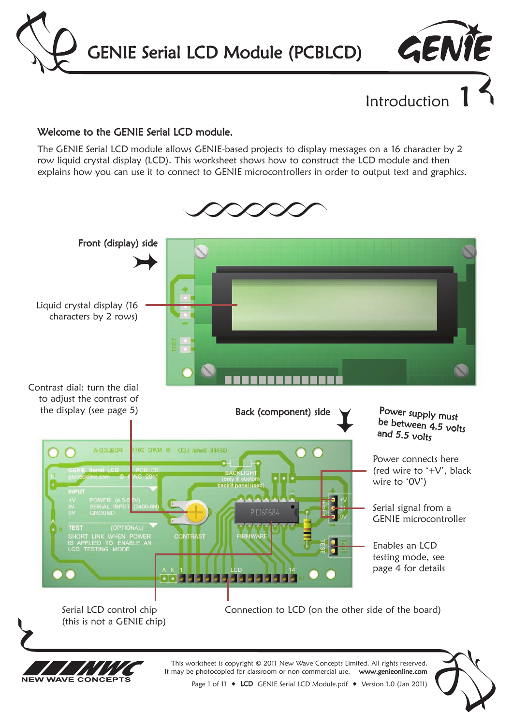GENIE Serial LCD Module (PCBLCD)



Introduction

#### Welcome to the GENIE Serial LCD module.

The GENIE Serial LCD module allows GENIE-based projects to display messages on a 16 character by 2 row liquid crystal display (LCD). This worksheet shows how to construct the LCD module and then explains how you can use it to connect to GENIE microcontrollers in order to output text and graphics.

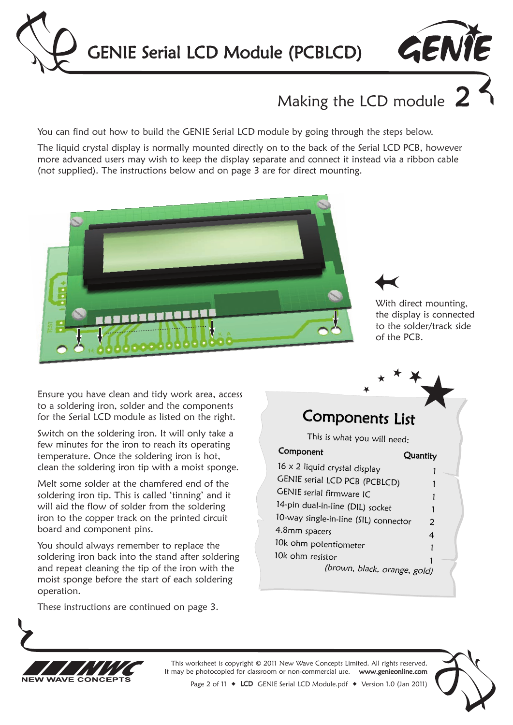



# Making the LCD module  $2$

You can find out how to build the GENIE Serial LCD module by going through the steps below.

The liquid crystal display is normally mounted directly on to the back of the Serial LCD PCB, however more advanced users may wish to keep the display separate and connect it instead via a ribbon cable (not supplied). The instructions below and on page 3 are for direct mounting.





With direct mounting, the display is connected to the solder/track side of the PCB.

Ensure you have clean and tidy work area, access to a soldering iron, solder and the components for the Serial LCD module as listed on the right.

Switch on the soldering iron. It will only take a few minutes for the iron to reach its operating temperature. Once the soldering iron is hot, clean the soldering iron tip with a moist sponge.

Melt some solder at the chamfered end of the soldering iron tip. This is called 'tinning' and it will aid the flow of solder from the soldering iron to the copper track on the printed circuit board and component pins.

You should always remember to replace the soldering iron back into the stand after soldering and repeat cleaning the tip of the iron with the moist sponge before the start of each soldering operation.

These instructions are continued on page 3.

### Components List

This is what you will need:

Component Quantity 16 x 2 liquid crystal display 1 GENIE serial LCD PCB (PCBLCD) 1 GENIE serial firmware IC 1 14-pin dual-in-line (DIL) socket 1 10-way single-in-line (SIL) connector <sup>2</sup> 4.8mm spacers <sup>4</sup> 10k ohm potentiometer 1 10k ohm resistor (brown, black, orange, gold)



This worksheet is copyright © 2011 New Wave Concepts Limited. All rights reserved.<br>may be photocopied for classroom or non-commercial use. www.genieonline.com It may be photocopied for classroom or non-commercial use.



Page 2 of 11 ◆ LCD GENIE Serial LCD Module.pdf ◆ Version 1.0 (Jan 2011)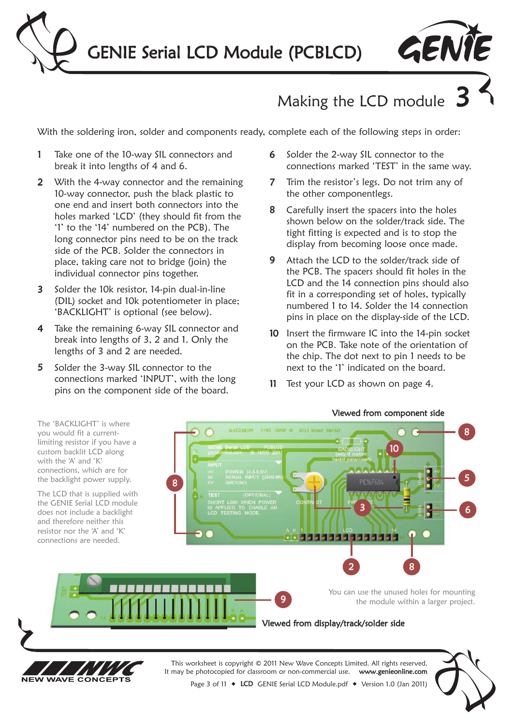



# Making the LCD module

With the soldering iron, solder and components ready, complete each of the following steps in order:

- 1 Take one of the 10-way SIL connectors and break it into lengths of 4 and 6.
- 2 With the 4-way connector and the remaining 10-way connector, push the black plastic to one end and insert both connectors into the holes marked 'LCD' (they should fit from the '1' to the '14' numbered on the PCB). The long connector pins need to be on the track side of the PCB. Solder the connectors in place, taking care not to bridge (join) the individual connector pins together.
- 3 Solder the 10k resistor, 14-pin dual-in-line (DIL) socket and 10k potentiometer in place; 'BACKLIGHT' is optional (see below).
- 4 Take the remaining 6-way SIL connector and break into lengths of 3, 2 and 1. Only the lengths of 3 and 2 are needed.
- 5 Solder the 3-way SIL connector to the connections marked 'INPUT', with the long pins on the component side of the board.

**NFW** 

**WAVE CONCEPTS** 

- 6 Solder the 2-way SIL connector to the connections marked 'TEST' in the same way.
- 7 Trim the resistor's legs. Do not trim any of the other componentlegs.
- 8 Carefully insert the spacers into the holes shown below on the solder/track side. The tight fitting is expected and is to stop the display from becoming loose once made.
- 9 Attach the LCD to the solder/track side of the PCB. The spacers should fit holes in the LCD and the 14 connection pins should also fit in a corresponding set of holes, typically numbered 1 to 14. Solder the 14 connection pins in place on the display-side of the LCD.
- 10 Insert the firmware IC into the 14-pin socket on the PCB. Take note of the orientation of the chip. The dot next to pin 1 needs to be next to the '1' indicated on the board.
- 11 Test your LCD as shown on page 4.

#### Viewed from component side

The 'BACKLIGHT' is where GENIE Serial LCD © NWC 2011 PCBLCD-A 8 you would fit a currentlimiting resistor if you have a 10 custom backlit LCD along with the 'A' and 'K' connections, which are for 5 the backlight power supply. 8 The LCD that is supplied with the GENIE Serial LCD module 3 6 does not include a backlight and therefore neither this resistor nor the 'A' and 'K' ,,,,,,,,,,,,,,,,, connections are needed. 2 8 You can use the unused holes for mounting 9 the module within a larger project.Viewed from display/track/solder side This worksheet is copyright © 2011 New Wave Concepts Limited. All rights reserved. It may be photocopied for classroom or non-commercial use. www.genieonline.com



Page 3 of 11 ◆ LCD GENIE Serial LCD Module.pdf ◆ Version 1.0 (Jan 2011)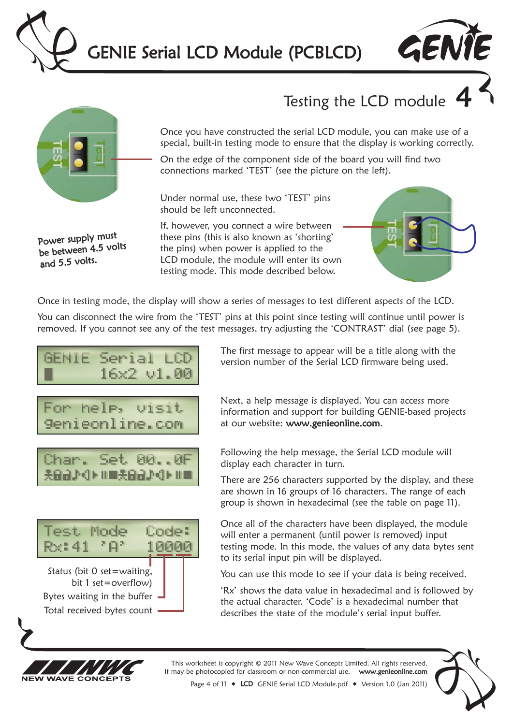



## Testing the LCD module



Power supply must be between 4.5 volts

and 5.5 volts.

Once you have constructed the serial LCD module, you can make use of a special, built-in testing mode to ensure that the display is working correctly.

On the edge of the component side of the board you will find two connections marked 'TEST' (see the picture on the left).

Under normal use, these two 'TEST' pins should be left unconnected.

If, however, you connect a wire between these pins (this is also known as 'shorting' the pins) when power is applied to the LCD module, the module will enter its own testing mode. This mode described below.



Once in testing mode, the display will show a series of messages to test different aspects of the LCD.

You can disconnect the wire from the 'TEST' pins at this point since testing will continue until power is removed. If you cannot see any of the test messages, try adjusting the 'CONTRAST' dial (see page 5).







Next, a help message is displayed. You can access more information and support for building GENIE-based projects at our website: www.genieonline.com.

Following the help message, the Serial LCD module will display each character in turn.

There are 256 characters supported by the display, and these are shown in 16 groups of 16 characters. The range of each group is shown in hexadecimal (see the table on page 11).

Once all of the characters have been displayed, the module will enter a permanent (until power is removed) input testing mode. In this mode, the values of any data bytes sent to its serial input pin will be displayed.

You can use this mode to see if your data is being received.

'Rx' shows the data value in hexadecimal and is followed by the actual character. 'Code' is a hexadecimal number that describes the state of the module's serial input buffer.



This worksheet is copyright © 2011 New Wave Concepts Limited. All rights reserved. It may be photocopied for classroom or non-commercial use. www.genieonline.com



Page 4 of 11  $\bullet$  LCD GENIE Serial LCD Module.pdf  $\bullet$  Version 1.0 (Jan 2011)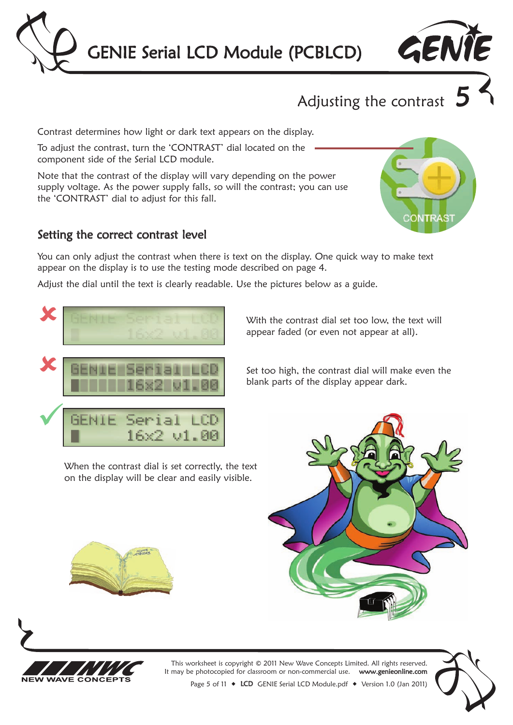



Adjusting the contrast  $5$ 

Contrast determines how light or dark text appears on the display.

To adjust the contrast, turn the 'CONTRAST' dial located on the component side of the Serial LCD module.

Note that the contrast of the display will vary depending on the power supply voltage. As the power supply falls, so will the contrast; you can use the 'CONTRAST' dial to adjust for this fall.

#### Setting the correct contrast level

You can only adjust the contrast when there is text on the display. One quick way to make text appear on the display is to use the testing mode described on page 4.

Adjust the dial until the text is clearly readable. Use the pictures below as a guide.



When the contrast dial is set correctly, the text on the display will be clear and easily visible.



appear faded (or even not appear at all).

With the contrast dial set too low, the text will

Set too high, the contrast dial will make even the blank parts of the display appear dark.







This worksheet is copyright © 2011 New Wave Concepts Limited. All rights reserved. It may be photocopied for classroom or non-commercial use. www.genieonline.com



Page 5 of 11  $\bullet$  LCD GENIE Serial LCD Module.pdf  $\bullet$  Version 1.0 (Jan 2011)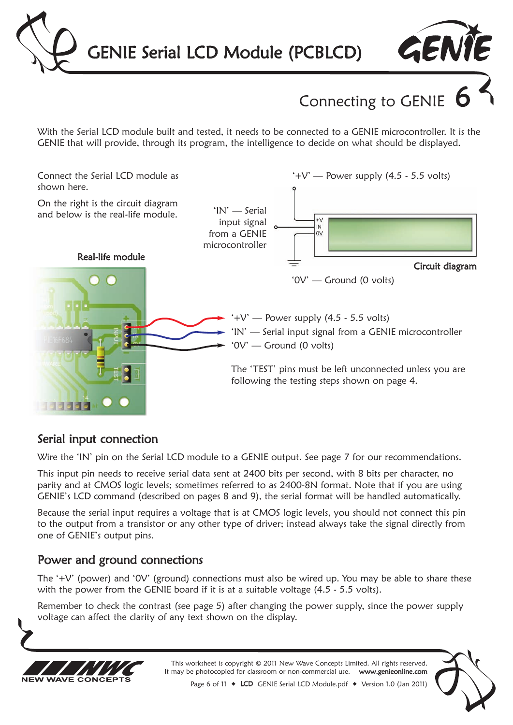



Connecting to GENIE

With the Serial LCD module built and tested, it needs to be connected to a GENIE microcontroller. It is the GENIE that will provide, through its program, the intelligence to decide on what should be displayed.



### Serial input connection

Wire the 'IN' pin on the Serial LCD module to a GENIE output. See page 7 for our recommendations.

This input pin needs to receive serial data sent at 2400 bits per second, with 8 bits per character, no parity and at CMOS logic levels; sometimes referred to as 2400-8N format. Note that if you are using GENIE's LCD command (described on pages 8 and 9), the serial format will be handled automatically.

Because the serial input requires a voltage that is at CMOS logic levels, you should not connect this pin to the output from a transistor or any other type of driver; instead always take the signal directly from one of GENIE's output pins.

### Power and ground connections

The '+V' (power) and '0V' (ground) connections must also be wired up. You may be able to share these with the power from the GENIE board if it is at a suitable voltage (4.5 - 5.5 volts).

Remember to check the contrast (see page 5) after changing the power supply, since the power supply voltage can affect the clarity of any text shown on the display.



This worksheet is copyright © 2011 New Wave Concepts Limited. All rights reserved.<br>may be photocopied for classroom or non-commercial use. www.genieonline.com It may be photocopied for classroom or non-commercial use.

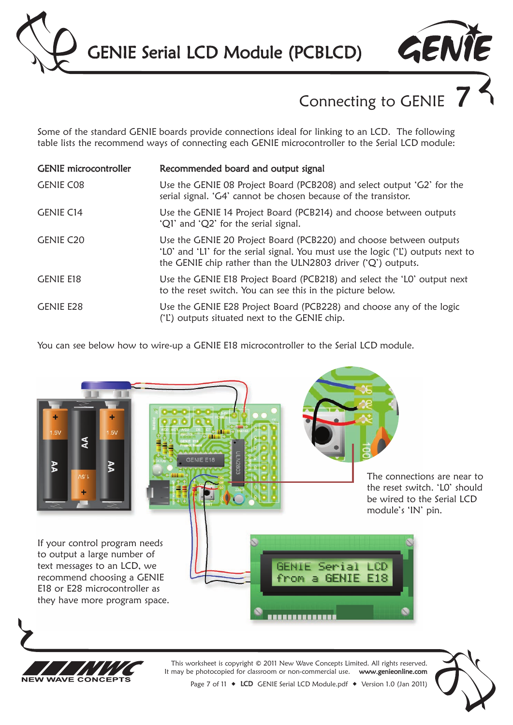GENIE Serial LCD Module (PCBLCD)

# Connecting to GENIE

GENTE

Some of the standard GENIE boards provide connections ideal for linking to an LCD. The following table lists the recommend ways of connecting each GENIE microcontroller to the Serial LCD module:

| <b>GENIE</b> microcontroller | Recommended board and output signal                                                                                                                                                                                     |
|------------------------------|-------------------------------------------------------------------------------------------------------------------------------------------------------------------------------------------------------------------------|
| <b>GENIE CO8</b>             | Use the GENIE 08 Project Board (PCB208) and select output 'G2' for the<br>serial signal. 'G4' cannot be chosen because of the transistor.                                                                               |
| <b>GENIE C14</b>             | Use the GENIE 14 Project Board (PCB214) and choose between outputs<br>'Q1' and 'Q2' for the serial signal.                                                                                                              |
| <b>GENIE C20</b>             | Use the GENIE 20 Project Board (PCB220) and choose between outputs<br>'LO' and 'LI' for the serial signal. You must use the logic ('L') outputs next to<br>the GENIE chip rather than the ULN2803 driver ('Q') outputs. |
| <b>GENIE E18</b>             | Use the GENIE E18 Project Board (PCB218) and select the 'LO' output next<br>to the reset switch. You can see this in the picture below.                                                                                 |
| <b>GENIE E28</b>             | Use the GENIE E28 Project Board (PCB228) and choose any of the logic<br>('L') outputs situated next to the GENIE chip.                                                                                                  |

You can see below how to wire-up a GENIE E18 microcontroller to the Serial LCD module.



**NFW** 

**WAVE CONCEPTS** 

Page 7 of 11 ◆ LCD GENIE Serial LCD Module.pdf ◆ Version 1.0 (Jan 2011)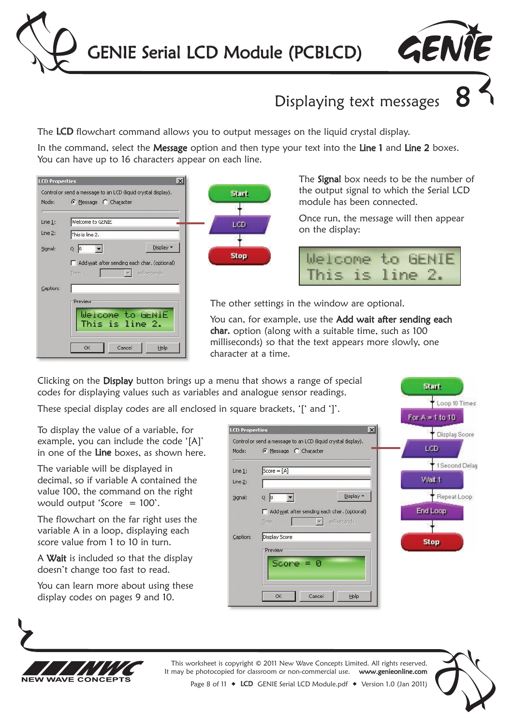



## Displaying text messages 8

The LCD flowchart command allows you to output messages on the liquid crystal display.

In the command, select the Message option and then type your text into the Line 1 and Line 2 boxes. You can have up to 16 characters appear on each line.





The **Signal** box needs to be the number of the output signal to which the Serial LCD module has been connected.

Once run, the message will then appear on the display:

|                 | Welcome to GENIE |
|-----------------|------------------|
| This is line 2. |                  |

**Start** 

Loop 10 Times

The other settings in the window are optional.

You can, for example, use the Add wait after sending each char. option (along with a suitable time, such as 100 milliseconds) so that the text appears more slowly, one character at a time.

Clicking on the Display button brings up a menu that shows a range of special codes for displaying values such as variables and analogue sensor readings.

These special display codes are all enclosed in square brackets. 'I' and '1'

To display the value of a variable, for example, you can include the code '[A]' in one of the Line boxes, as shown here.

The variable will be displayed in decimal, so if variable A contained the value 100, the command on the right would output 'Score = 100'.

The flowchart on the far right uses the variable A in a loop, displaying each score value from 1 to 10 in turn.

A Wait is included so that the display doesn't change too fast to read.

You can learn more about using these display codes on pages 9 and 10.

|                       | $square$ by Diackers, $ $ and $ $ .                           | For $A = 1$ to 10 |
|-----------------------|---------------------------------------------------------------|-------------------|
| <b>LCD Properties</b> | $\vert x \vert$                                               | Display Score     |
|                       | Control or send a message to an LCD (liquid crystal display). |                   |
| Mode:                 | C Message C Character                                         | LCD <sub></sub>   |
| Line $1$ :            | $Score = [A]$                                                 | 1 Second Dela     |
| Line 2:               |                                                               | Wait 1            |
| Signal:               | Display *<br> 0 <br>Q                                         | Repeat Loop       |
|                       | Add wait after sending each char. (optional)                  | End Loop          |
|                       | milliseconds<br>Time:                                         |                   |
| Caption:              | Display Score                                                 | <b>Stop</b>       |
|                       | Preview                                                       |                   |
|                       | $Score = 0$                                                   |                   |
|                       | Cancel<br>Help<br>OK                                          |                   |



This worksheet is copyright © 2011 New Wave Concepts Limited. All rights reserved. It may be photocopied for classroom or non-commercial use. www.genieonline.com



Page 8 of 11 ◆ LCD GENIE Serial LCD Module.pdf ◆ Version 1.0 (Jan 2011)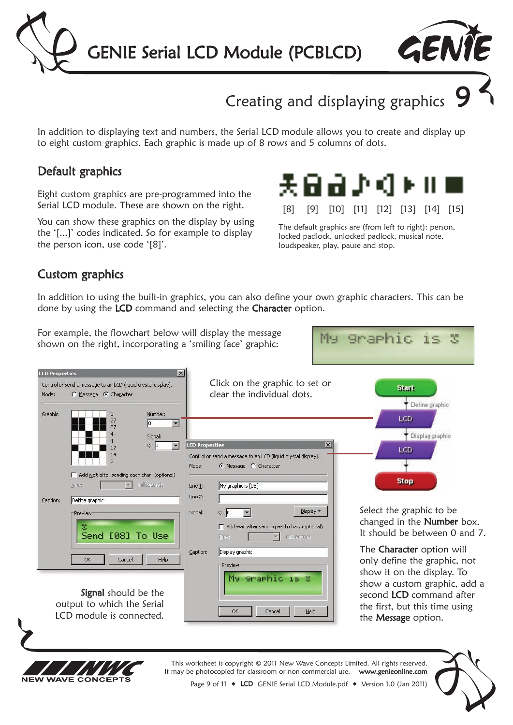



## Creating and displaying graphics

In addition to displaying text and numbers, the Serial LCD module allows you to create and display up to eight custom graphics. Each graphic is made up of 8 rows and 5 columns of dots.

### Default graphics

Eight custom graphics are pre-programmed into the Serial LCD module. These are shown on the right.

You can show these graphics on the display by using the '[...]' codes indicated. So for example to display the person icon, use code '[8]'.



The default graphics are (from left to right): person, locked padlock, unlocked padlock, musical note, loudspeaker, play, pause and stop.

**Sraphic** 

 $T \subseteq$ 

N.

Mu.

### Custom graphics

In addition to using the built-in graphics, you can also define your own graphic characters. This can be done by using the LCD command and selecting the Character option.

For example, the flowchart below will display the message shown on the right, incorporating a 'smiling face' graphic:





This worksheet is copyright © 2011 New Wave Concepts Limited. All rights reserved. It may be photocopied for classroom or non-commercial use. www.genieonline.com Page 9 of 11 ◆ LCD GENIE Serial LCD Module.pdf ◆ Version 1.0 (Jan 2011)

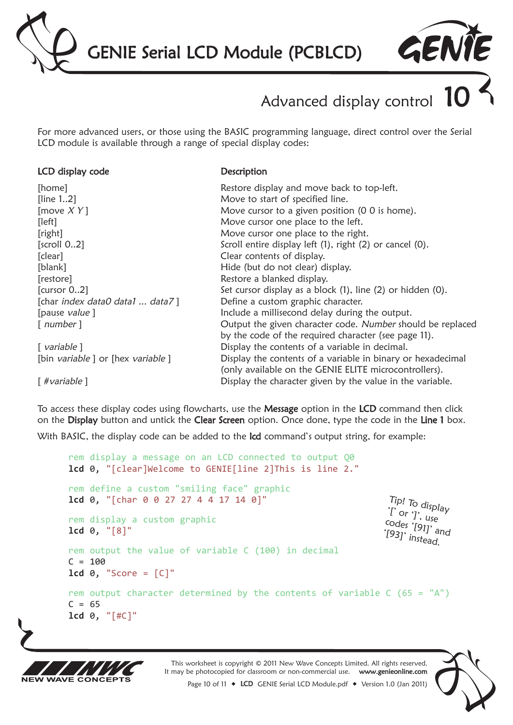



# Advanced display control

For more advanced users, or those using the BASIC programming language, direct control over the Serial LCD module is available through a range of special display codes:

#### LCD display code

**Description** 

| [home]                           | Restore display and move back to top-left.                  |
|----------------------------------|-------------------------------------------------------------|
| [line 12]                        | Move to start of specified line.                            |
| [move $XY$ ]                     | Move cursor to a given position (0 0 is home).              |
| [left]                           | Move cursor one place to the left.                          |
| [right]                          | Move cursor one place to the right.                         |
| $\left[$ scroll 02 $\right]$     | Scroll entire display left (1), right (2) or cancel (0).    |
| [clear]                          | Clear contents of display.                                  |
| [blank]                          | Hide (but do not clear) display.                            |
| [restore]                        | Restore a blanked display.                                  |
| [cursor 02]                      | Set cursor display as a block (1), line (2) or hidden (0).  |
| [char index data0 data1  data7]  | Define a custom graphic character.                          |
| [pause value]                    | Include a millisecond delay during the output.              |
| $\lceil$ number $\rceil$         | Output the given character code. Number should be replaced  |
|                                  | by the code of the required character (see page 11).        |
| $\lceil$ variable $\rceil$       | Display the contents of a variable in decimal.              |
| [bin variable] or [hex variable] | Display the contents of a variable in binary or hexadecimal |
|                                  | (only available on the GENIE ELITE microcontrollers).       |
| [#variable]                      | Display the character given by the value in the variable.   |

To access these display codes using flowcharts, use the Message option in the LCD command then click on the Display button and untick the Clear Screen option. Once done, type the code in the Line 1 box. With BASIC, the display code can be added to the lcd command's output string, for example:

rem display a message on an LCD connected to output Q0 **lcd** 0, "[clear]Welcome to GENIE[line 2]This is line 2." rem define a custom "smiling face" graphic **lcd** 0, "[char 0 0 27 27 4 4 17 14 0]" rem display a custom graphic **lcd** 0, "[8]" rem output the value of variable C (100) in decimal  $C = 100$ **lcd** 0, "Score = [C]" rem output character determined by the contents of variable  $C(65 = "A")$  $C = 65$ **lcd** 0, "[#C]"  $\int_{0}^{1}$  or  $\int_{0}^{1}$ , use Tip! To display<br>'I` or '1' codes '[91]' and [93]' instead.



This worksheet is copyright © 2011 New Wave Concepts Limited. All rights reserved. It may be photocopied for classroom or non-commercial use. www.genieonline.com Page 10 of 11 ◆ LCD GENIE Serial LCD Module.pdf ◆ Version 1.0 (Jan 2011)